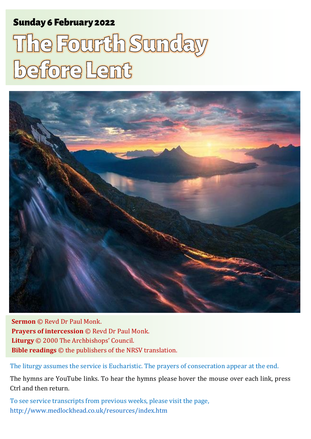# Sunday 6 February 2022 1 The Fourth Sunday 6 February 2022 1 The Fourth Sunday before Lent and Sunday 1

# The Fourth Sunday before Lent



**Sermon** © Revd Dr Paul Monk. **Prayers of intercession** © Revd Dr Paul Monk. **Liturgy** © 2000 The Archbishops' Council. **Bible readings** © the publishers of the NRSV translation.

The liturgy assumes the service is Eucharistic. The prayers of consecration appear at the end.

The hymns are YouTube links. To hear the hymns please hover the mouse over each link, press Ctrl and then return.

To see service transcripts from previous weeks, please visit the page, <http://www.medlockhead.co.uk/resources/index.htm>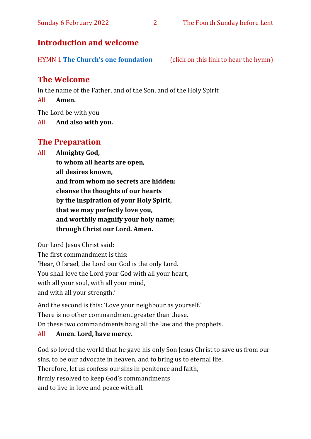### **Introduction and welcome**

HYMN 1 **[The Church's one foundation](https://www.youtube.com/watch?v=bCdASxyPIKE)** (click on this link to hear the hymn)

# **The Welcome**

In the name of the Father, and of the Son, and of the Holy Spirit

All **Amen.**

The Lord be with you

All **And also with you.**

# **The Preparation**

All **Almighty God,**

**to whom all hearts are open, all desires known, and from whom no secrets are hidden: cleanse the thoughts of our hearts by the inspiration of your Holy Spirit, that we may perfectly love you, and worthily magnify your holy name; through Christ our Lord. Amen.**

Our Lord Jesus Christ said:

The first commandment is this: 'Hear, O Israel, the Lord our God is the only Lord. You shall love the Lord your God with all your heart, with all your soul, with all your mind, and with all your strength.'

And the second is this: 'Love your neighbour as yourself.' There is no other commandment greater than these. On these two commandments hang all the law and the prophets.

#### All **Amen. Lord, have mercy.**

God so loved the world that he gave his only Son Jesus Christ to save us from our sins, to be our advocate in heaven, and to bring us to eternal life. Therefore, let us confess our sins in penitence and faith, firmly resolved to keep God's commandments and to live in love and peace with all.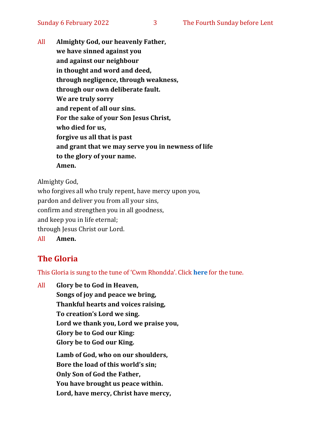All **Almighty God, our heavenly Father, we have sinned against you and against our neighbour in thought and word and deed, through negligence, through weakness, through our own deliberate fault. We are truly sorry and repent of all our sins. For the sake of your Son Jesus Christ, who died for us, forgive us all that is past and grant that we may serve you in newness of life to the glory of your name. Amen.**

Almighty God,

who forgives all who truly repent, have mercy upon you, pardon and deliver you from all your sins, confirm and strengthen you in all goodness, and keep you in life eternal; through Jesus Christ our Lord. All **Amen.**

# **The Gloria**

This Gloria is sung to the tune of 'Cwm Rhondda'. Click **[here](about:blank)** for the tune.

All **Glory be to God in Heaven, Songs of joy and peace we bring, Thankful hearts and voices raising, To creation's Lord we sing. Lord we thank you, Lord we praise you, Glory be to God our King: Glory be to God our King. Lamb of God, who on our shoulders, Bore the load of this world's sin; Only Son of God the Father, You have brought us peace within.**

**Lord, have mercy, Christ have mercy,**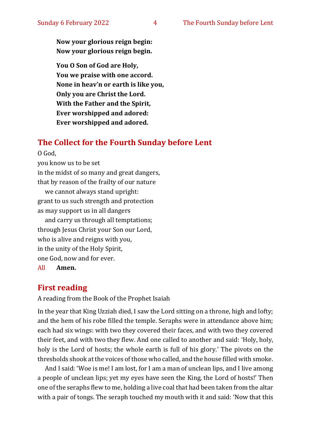**Now your glorious reign begin: Now your glorious reign begin.**

**You O Son of God are Holy, You we praise with one accord. None in heav'n or earth is like you, Only you are Christ the Lord. With the Father and the Spirit, Ever worshipped and adored: Ever worshipped and adored.**

#### **The Collect for the Fourth Sunday before Lent**

O God,

you know us to be set

in the midst of so many and great dangers, that by reason of the frailty of our nature

we cannot always stand upright: grant to us such strength and protection as may support us in all dangers

and carry us through all temptations; through Jesus Christ your Son our Lord, who is alive and reigns with you, in the unity of the Holy Spirit, one God, now and for ever.

All **Amen.**

#### **First reading**

A reading from the Book of the Prophet Isaiah

In the year that King Uzziah died, I saw the Lord sitting on a throne, high and lofty; and the hem of his robe filled the temple. Seraphs were in attendance above him; each had six wings: with two they covered their faces, and with two they covered their feet, and with two they flew. And one called to another and said: 'Holy, holy, holy is the Lord of hosts; the whole earth is full of his glory.' The pivots on the thresholds shook at the voices of those who called, and the house filled with smoke.

And I said: 'Woe is me! I am lost, for I am a man of unclean lips, and I live among a people of unclean lips; yet my eyes have seen the King, the Lord of hosts!' Then one of the seraphs flew to me, holding a live coal that had been taken from the altar with a pair of tongs. The seraph touched my mouth with it and said: 'Now that this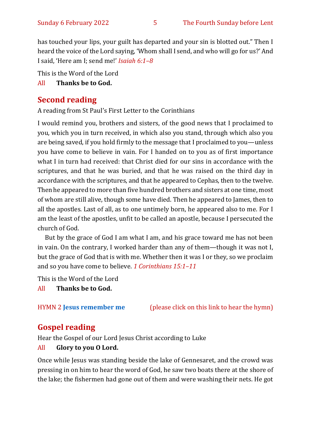has touched your lips, your guilt has departed and your sin is blotted out." Then I heard the voice of the Lord saying, 'Whom shall I send, and who will go for us?' And I said, 'Here am I; send me!' *Isaiah 6:1–8*

This is the Word of the Lord

#### All **Thanks be to God.**

# **Second reading**

A reading from St Paul's First Letter to the Corinthians

I would remind you, brothers and sisters, of the good news that I proclaimed to you, which you in turn received, in which also you stand, through which also you are being saved, if you hold firmly to the message that I proclaimed to you—unless you have come to believe in vain. For I handed on to you as of first importance what I in turn had received: that Christ died for our sins in accordance with the scriptures, and that he was buried, and that he was raised on the third day in accordance with the scriptures, and that he appeared to Cephas, then to the twelve. Then he appeared to more than five hundred brothers and sisters at one time, most of whom are still alive, though some have died. Then he appeared to James, then to all the apostles. Last of all, as to one untimely born, he appeared also to me. For I am the least of the apostles, unfit to be called an apostle, because I persecuted the church of God.

But by the grace of God I am what I am, and his grace toward me has not been in vain. On the contrary, I worked harder than any of them—though it was not I, but the grace of God that is with me. Whether then it was I or they, so we proclaim and so you have come to believe. *1 Corinthians 15:1–11*

This is the Word of the Lord

All **Thanks be to God.**

HYMN 2 **[Jesus remember me](https://www.youtube.com/watch?v=6b3MPGBLNeE)** (please click on this link to hear the hymn)

# **Gospel reading**

Hear the Gospel of our Lord Jesus Christ according to Luke

#### All **Glory to you O Lord.**

Once while Jesus was standing beside the lake of Gennesaret, and the crowd was pressing in on him to hear the word of God, he saw two boats there at the shore of the lake; the fishermen had gone out of them and were washing their nets. He got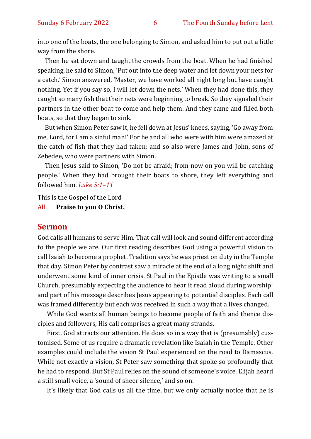into one of the boats, the one belonging to Simon, and asked him to put out a little way from the shore.

Then he sat down and taught the crowds from the boat. When he had finished speaking, he said to Simon, 'Put out into the deep water and let down your nets for a catch.' Simon answered, 'Master, we have worked all night long but have caught nothing. Yet if you say so, I will let down the nets.' When they had done this, they caught so many fish that their nets were beginning to break. So they signaled their partners in the other boat to come and help them. And they came and filled both boats, so that they began to sink.

But when Simon Peter saw it, he fell down at Jesus' knees, saying, 'Go away from me, Lord, for I am a sinful man!' For he and all who were with him were amazed at the catch of fish that they had taken; and so also were James and John, sons of Zebedee, who were partners with Simon.

Then Jesus said to Simon, 'Do not be afraid; from now on you will be catching people.' When they had brought their boats to shore, they left everything and followed him. *Luke 5:1–11*

This is the Gospel of the Lord

#### All **Praise to you O Christ.**

#### **Sermon**

God calls all humans to serve Him. That call will look and sound different according to the people we are. Our first reading describes God using a powerful vision to call Isaiah to become a prophet. Tradition says he was priest on duty in the Temple that day. Simon Peter by contrast saw a miracle at the end of a long night shift and underwent some kind of inner crisis. St Paul in the Epistle was writing to a small Church, presumably expecting the audience to hear it read aloud during worship; and part of his message describes Jesus appearing to potential disciples. Each call was framed differently but each was received in such a way that a lives changed.

While God wants all human beings to become people of faith and thence disciples and followers, His call comprises a great many strands.

First, God attracts our attention. He does so in a way that is (presumably) customised. Some of us require a dramatic revelation like Isaiah in the Temple. Other examples could include the vision St Paul experienced on the road to Damascus. While not exactly a vision, St Peter saw something that spoke so profoundly that he had to respond. But St Paul relies on the sound of someone's voice. Elijah heard a still small voice, a 'sound of sheer silence,' and so on.

It's likely that God calls us all the time, but we only actually notice that he is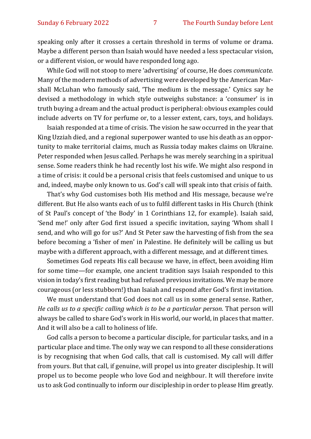speaking only after it crosses a certain threshold in terms of volume or drama. Maybe a different person than Isaiah would have needed a less spectacular vision, or a different vision, or would have responded long ago.

While God will not stoop to mere 'advertising' of course, He does *communicate.*  Many of the modern methods of advertising were developed by the American Marshall McLuhan who famously said, 'The medium is the message.' Cynics say he devised a methodology in which style outweighs substance: a 'consumer' is in truth buying a dream and the actual product is peripheral: obvious examples could include adverts on TV for perfume or, to a lesser extent, cars, toys, and holidays.

Isaiah responded at a time of crisis. The vision he saw occurred in the year that King Uzziah died, and a regional superpower wanted to use his death as an opportunity to make territorial claims, much as Russia today makes claims on Ukraine. Peter responded when Jesus called. Perhaps he was merely searching in a spiritual sense. Some readers think he had recently lost his wife. We might also respond in a time of crisis: it could be a personal crisis that feels customised and unique to us and, indeed, maybe only known to us. God's call will speak into that crisis of faith.

That's why God customises both His method and His message, because we're different. But He also wants each of us to fulfil different tasks in His Church (think of St Paul's concept of 'the Body' in 1 Corinthians 12, for example). Isaiah said, 'Send me!' only after God first issued a specific invitation, saying 'Whom shall I send, and who will go for us?' And St Peter saw the harvesting of fish from the sea before becoming a 'fisher of men' in Palestine. He definitely will be calling us but maybe with a different approach, with a different message, and at different times.

Sometimes God repeats His call because we have, in effect, been avoiding Him for some time—for example, one ancient tradition says Isaiah responded to this vision in today's first reading but had refused previous invitations. We may be more courageous (or less stubborn!) than Isaiah and respond after God's first invitation.

We must understand that God does not call us in some general sense. Rather, *He calls us to a specific calling which is to be a particular person.* That person will always be called to share God's work in His world, our world, in places that matter. And it will also be a call to holiness of life.

God calls a person to become a particular disciple, for particular tasks, and in a particular place and time. The only way we can respond to all these considerations is by recognising that when God calls, that call is customised. My call will differ from yours. But that call, if genuine, will propel us into greater discipleship. It will propel us to become people who love God and neighbour. It will therefore invite us to ask God continually to inform our discipleship in order to please Him greatly.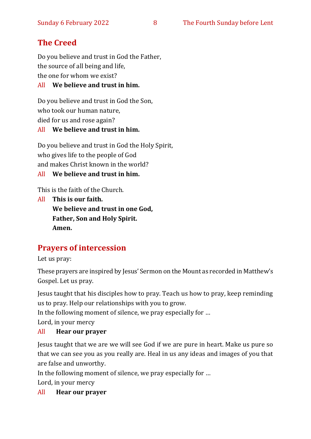# **The Creed**

Do you believe and trust in God the Father, the source of all being and life, the one for whom we exist?

#### All **We believe and trust in him.**

Do you believe and trust in God the Son, who took our human nature, died for us and rose again? All **We believe and trust in him.**

Do you believe and trust in God the Holy Spirit, who gives life to the people of God and makes Christ known in the world?

All **We believe and trust in him.**

This is the faith of the Church.

All **This is our faith. We believe and trust in one God, Father, Son and Holy Spirit. Amen.**

# **Prayers of intercession**

Let us pray:

These prayers are inspired by Jesus' Sermon on the Mount as recorded in Matthew's Gospel. Let us pray.

Jesus taught that his disciples how to pray. Teach us how to pray, keep reminding us to pray. Help our relationships with you to grow.

In the following moment of silence, we pray especially for …

Lord, in your mercy

#### All **Hear our prayer**

Jesus taught that we are we will see God if we are pure in heart. Make us pure so that we can see you as you really are. Heal in us any ideas and images of you that are false and unworthy.

In the following moment of silence, we pray especially for …

Lord, in your mercy

All **Hear our prayer**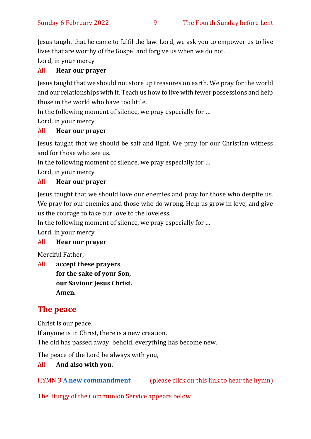Jesus taught that he came to fulfil the law. Lord, we ask you to empower us to live lives that are worthy of the Gospel and forgive us when we do not.

Lord, in your mercy

#### All **Hear our prayer**

Jesus taught that we should not store up treasures on earth. We pray for the world and our relationships with it. Teach us how to live with fewer possessions and help those in the world who have too little.

In the following moment of silence, we pray especially for …

Lord, in your mercy

#### All **Hear our prayer**

Jesus taught that we should be salt and light. We pray for our Christian witness and for those who see us.

In the following moment of silence, we pray especially for …

Lord, in your mercy

#### All **Hear our prayer**

Jesus taught that we should love our enemies and pray for those who despite us. We pray for our enemies and those who do wrong. Help us grow in love, and give us the courage to take our love to the loveless.

In the following moment of silence, we pray especially for …

Lord, in your mercy

#### All **Hear our prayer**

Merciful Father,

All **accept these prayers for the sake of your Son, our Saviour Jesus Christ. Amen.**

# **The peace**

Christ is our peace.

If anyone is in Christ, there is a new creation.

The old has passed away: behold, everything has become new.

The peace of the Lord be always with you,

#### All **And also with you.**

HYMN 3 **[A new commandment](https://www.youtube.com/watch?v=_0A5T9sD8Ug)** (please click on this link to hear the hymn)

The liturgy of the Communion Service appears below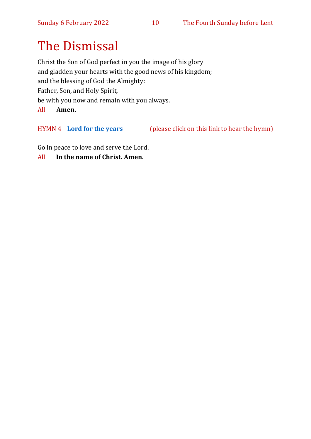# The Dismissal

Christ the Son of God perfect in you the image of his glory and gladden your hearts with the good news of his kingdom; and the blessing of God the Almighty: Father, Son, and Holy Spirit, be with you now and remain with you always. All **Amen.**

HYMN 4 **[Lord for the years](https://www.youtube.com/watch?v=MkTrFQLy6js)** (please click on this link to hear the hymn)

Go in peace to love and serve the Lord.

All **In the name of Christ. Amen.**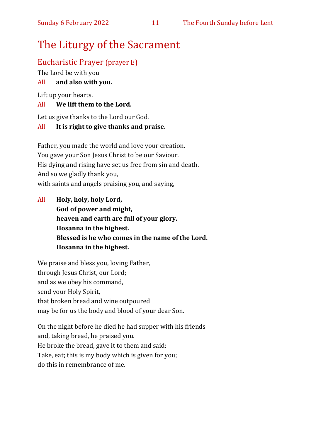# The Liturgy of the Sacrament

## Eucharistic Prayer (prayer E)

The Lord be with you

#### All **and also with you.**

Lift up your hearts.

#### All **We lift them to the Lord.**

Let us give thanks to the Lord our God.

#### All **It is right to give thanks and praise.**

Father, you made the world and love your creation. You gave your Son Jesus Christ to be our Saviour. His dying and rising have set us free from sin and death. And so we gladly thank you, with saints and angels praising you, and saying,

All **Holy, holy, holy Lord, God of power and might, heaven and earth are full of your glory. Hosanna in the highest. Blessed is he who comes in the name of the Lord. Hosanna in the highest.**

We praise and bless you, loving Father, through Jesus Christ, our Lord; and as we obey his command, send your Holy Spirit, that broken bread and wine outpoured may be for us the body and blood of your dear Son.

On the night before he died he had supper with his friends and, taking bread, he praised you. He broke the bread, gave it to them and said: Take, eat; this is my body which is given for you; do this in remembrance of me.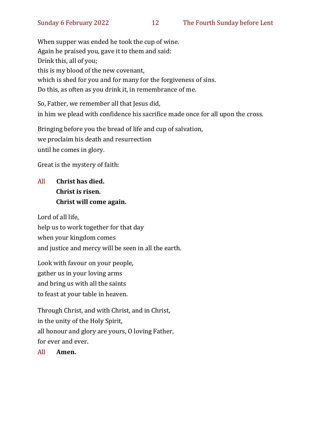When supper was ended he took the cup of wine. Again he praised you, gave it to them and said: Drink this, all of you; this is my blood of the new covenant, which is shed for you and for many for the forgiveness of sins. Do this, as often as you drink it, in remembrance of me.

So, Father, we remember all that Jesus did, in him we plead with confidence his sacrifice made once for all upon the cross.

Bringing before you the bread of life and cup of salvation, we proclaim his death and resurrection until he comes in glory.

Great is the mystery of faith:

# All **Christ has died. Christ is risen. Christ will come again.**

Lord of all life, help us to work together for that day when your kingdom comes and justice and mercy will be seen in all the earth.

Look with favour on your people, gather us in your loving arms and bring us with all the saints to feast at your table in heaven.

Through Christ, and with Christ, and in Christ, in the unity of the Holy Spirit, all honour and glory are yours, O loving Father, for ever and ever.

All **Amen.**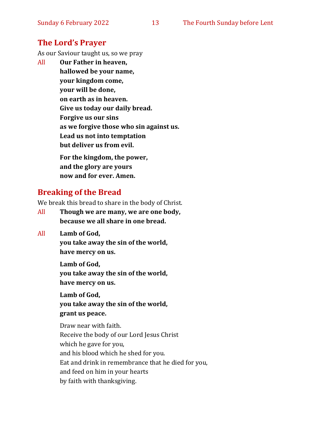#### **The Lord's Prayer**

As our Saviour taught us, so we pray

All **Our Father in heaven, hallowed be your name, your kingdom come, your will be done, on earth as in heaven. Give us today our daily bread. Forgive us our sins as we forgive those who sin against us. Lead us not into temptation but deliver us from evil. For the kingdom, the power,** 

**and the glory are yours now and for ever. Amen.**

#### **Breaking of the Bread**

We break this bread to share in the body of Christ.

- All **Though we are many, we are one body, because we all share in one bread.**
- All **Lamb of God,**

**you take away the sin of the world, have mercy on us.**

**Lamb of God,** 

**you take away the sin of the world, have mercy on us.**

**Lamb of God,** 

**you take away the sin of the world, grant us peace.**

Draw near with faith. Receive the body of our Lord Jesus Christ which he gave for you, and his blood which he shed for you. Eat and drink in remembrance that he died for you, and feed on him in your hearts by faith with thanksgiving.